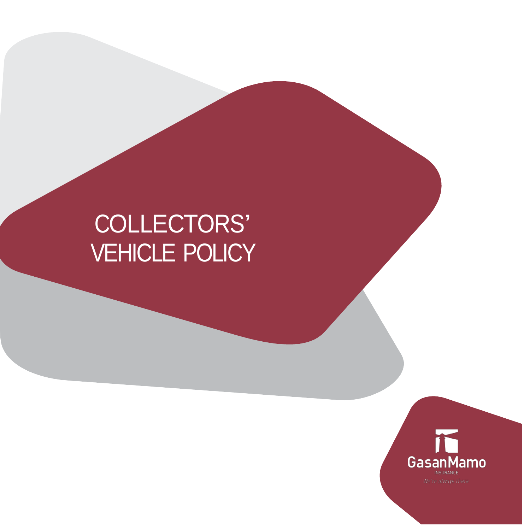# COLLECTORS' VEHICLE POLICY

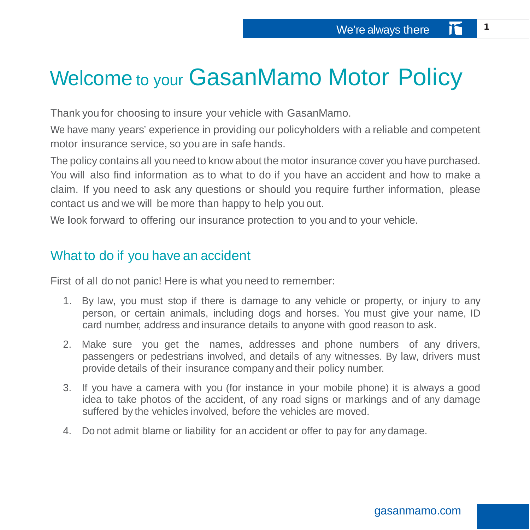## Welcome to your GasanMamo Motor Policy

Thank you for choosing to insure your vehicle with GasanMamo.

We have many years' experience in providing our policyholders with a reliable and competent motor insurance service, so you are in safe hands.

The policy contains all you need to know about the motor insurance cover you have purchased. You will also find information as to what to do if you have an accident and how to make a claim. If you need to ask any questions or should you require further information, please contact us and we will be more than happy to help you out.

We look forward to offering our insurance protection to you and to your vehicle.

## What to do if you have an accident

First of all do not panic! Here is what you need to remember:

- 1. By law, you must stop if there is damage to any vehicle or property, or injury to any person, or certain animals, including dogs and horses. You must give your name, ID card number, address and insurance details to anyone with good reason to ask.
- 2. Make sure you get the names, addresses and phone numbers of any drivers, passengers or pedestrians involved, and details of any witnesses. By law, drivers must provide details of their insurance company and their policy number.
- 3. If you have a camera with you (for instance in your mobile phone) it is always a good idea to take photos of the accident, of any road signs or markings and of any damage suffered by the vehicles involved, before the vehicles are moved.
- 4. Do not admit blame or liability for an accident or offer to pay for any damage.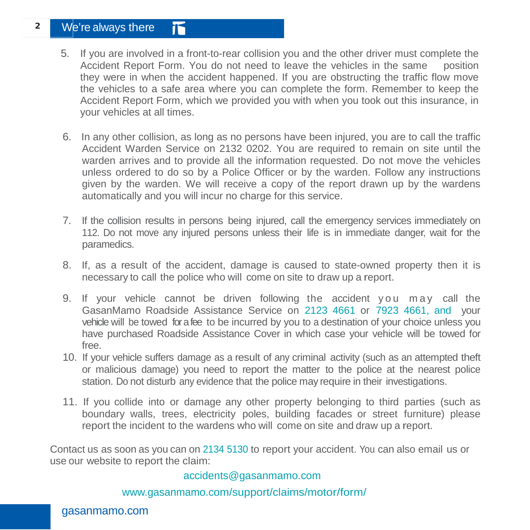#### **<sup>2</sup>** We're always there 忻

- 5. If you are involved in a front-to-rear collision you and the other driver must complete the Accident Report Form. You do not need to leave the vehicles in the same position they were in when the accident happened. If you are obstructing the traffic flow move the vehicles to a safe area where you can complete the form. Remember to keep the Accident Report Form, which we provided you with when you took out this insurance, in your vehicles at all times.
- 6. In any other collision, as long as no persons have been injured, you are to call the traffic Accident Warden Service on 2132 0202. You are required to remain on site until the warden arrives and to provide all the information requested. Do not move the vehicles unless ordered to do so by a Police Officer or by the warden. Follow any instructions given by the warden. We will receive a copy of the report drawn up by the wardens automatically and you will incur no charge for this service.
- 7. If the collision results in persons being injured, call the emergency services immediately on 112. Do not move any injured persons unless their life is in immediate danger, wait for the paramedics.
- 8. If, as a result of the accident, damage is caused to state-owned property then it is necessary to call the police who will come on site to draw up a report.
- 9. If your vehicle cannot be driven following the accident you may call the GasanMamo Roadside Assistance Service on 2123 4661 or 7923 4661, and your vehicle will be towed for a fee to be incurred by you to a destination of your choice unless you have purchased Roadside Assistance Cover in which case your vehicle will be towed for free.
- 10. If your vehicle suffers damage as a result of any criminal activity (such as an attempted theft or malicious damage) you need to report the matter to the police at the nearest police station. Do not disturb any evidence that the police may require in their investigations.
- 11. If you collide into or damage any other property belonging to third parties (such as boundary walls, trees, electricity poles, building facades or street furniture) please report the incident to the wardens who will come on site and draw up a report.

Contact us as soon as you can on 2134 5130 to report your accident. You can also email us or use our website to report the claim:

#### [accidents@gasanmamo.com](mailto:accidents@gasanmamo.com)

[www.gasanmamo.com/support/claims/motor/form/](http://www.gasanmamo.com/support/claims/motor/form/)

#### gasanmamo.com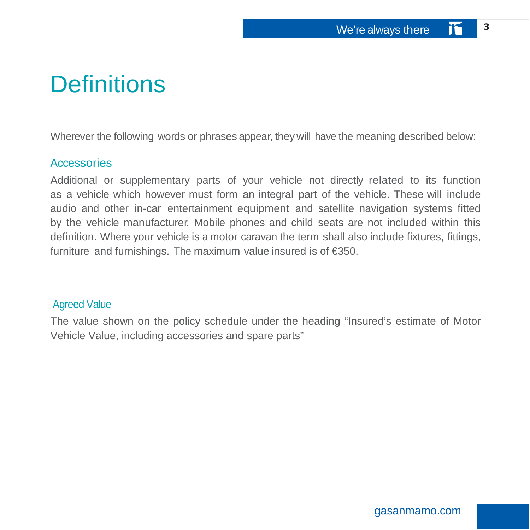## **Definitions**

Wherever the following words or phrases appear, they will have the meaning described below:

#### **Accessories**

Additional or supplementary parts of your vehicle not directly related to its function as a vehicle which however must form an integral part of the vehicle. These will include audio and other in-car entertainment equipment and satellite navigation systems fitted by the vehicle manufacturer. Mobile phones and child seats are not included within this definition. Where your vehicle is a motor caravan the term shall also include fixtures, fittings, furniture and furnishings. The maximum value insured is of €350.

#### Agreed Value

The value shown on the policy schedule under the heading "Insured's estimate of Motor Vehicle Value, including accessories and spare parts"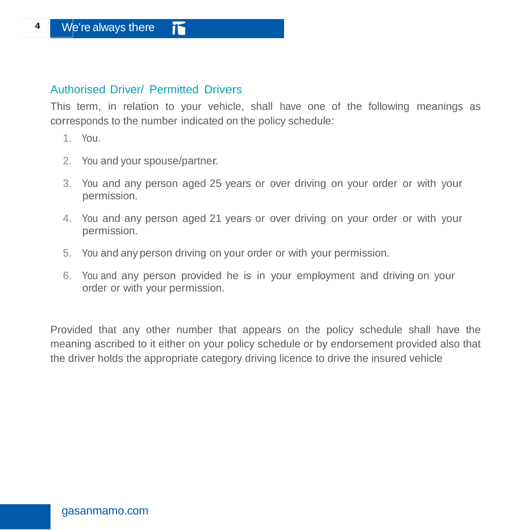#### Authorised Driver/ Permitted Drivers

This term, in relation to your vehicle, shall have one of the following meanings as corresponds to the number indicated on the policy schedule:

- 1. You.
- 2. You and your spouse/partner.
- 3. You and any person aged 25 years or over driving on your order or with your permission.
- 4. You and any person aged 21 years or over driving on your order or with your permission.
- 5. You and any person driving on your order or with your permission.
- 6. You and any person provided he is in your employment and driving on your order or with your permission.

Provided that any other number that appears on the policy schedule shall have the meaning ascribed to it either on your policy schedule or by endorsement provided also that the driver holds the appropriate category driving licence to drive the insured vehicle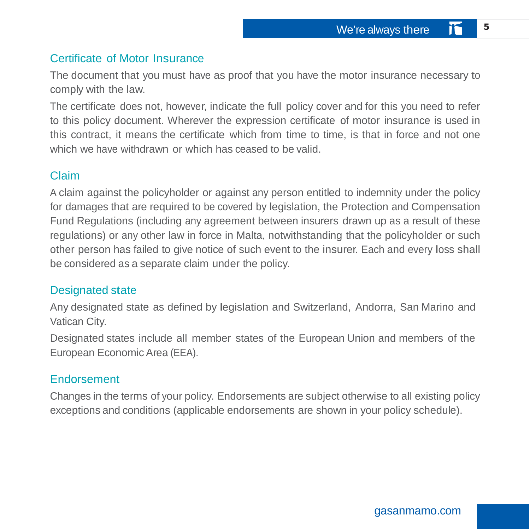### Certificate of Motor Insurance

The document that you must have as proof that you have the motor insurance necessary to comply with the law.

The certificate does not, however, indicate the full policy cover and for this you need to refer to this policy document. Wherever the expression certificate of motor insurance is used in this contract, it means the certificate which from time to time, is that in force and not one which we have withdrawn or which has ceased to be valid.

#### Claim

A claim against the policyholder or against any person entitled to indemnity under the policy for damages that are required to be covered by legislation, the Protection and Compensation Fund Regulations (including any agreement between insurers drawn up as a result of these regulations) or any other law in force in Malta, notwithstanding that the policyholder or such other person has failed to give notice of such event to the insurer. Each and every loss shall be considered as a separate claim under the policy.

#### Designated state

Any designated state as defined by legislation and Switzerland, Andorra, San Marino and Vatican City.

Designated states include all member states of the European Union and members of the European Economic Area (EEA).

#### Endorsement

Changes in the terms of your policy. Endorsements are subject otherwise to all existing policy exceptions and conditions (applicable endorsements are shown in your policy schedule).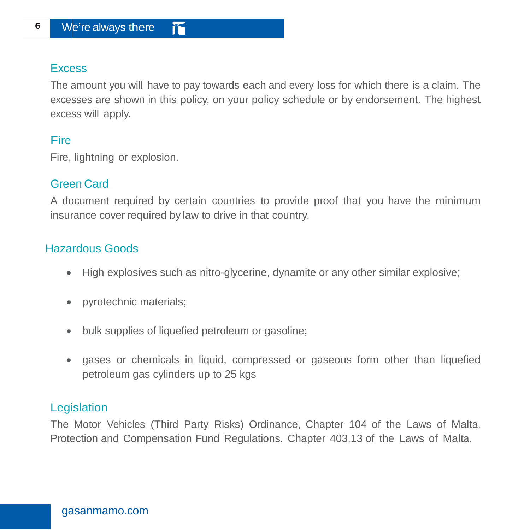### **Excess**

The amount you will have to pay towards each and every loss for which there is a claim. The excesses are shown in this policy, on your policy schedule or by endorsement. The highest excess will apply.

### **Fire**

Fire, lightning or explosion.

## Green Card

A document required by certain countries to provide proof that you have the minimum insurance cover required by law to drive in that country.

## Hazardous Goods

- High explosives such as nitro-glycerine, dynamite or any other similar explosive;
- pyrotechnic materials;
- bulk supplies of liquefied petroleum or gasoline;
- gases or chemicals in liquid, compressed or gaseous form other than liquefied petroleum gas cylinders up to 25 kgs

## **Legislation**

The Motor Vehicles (Third Party Risks) Ordinance, Chapter 104 of the Laws of Malta. Protection and Compensation Fund Regulations, Chapter 403.13 of the Laws of Malta.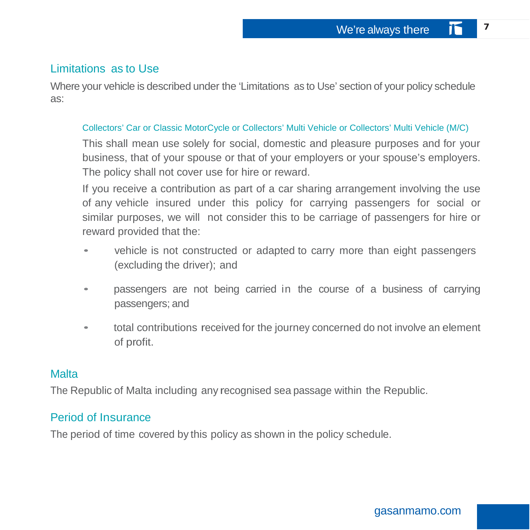### Limitations as to Use

Where your vehicle is described under the 'Limitations as to Use' section of your policy schedule as:

#### Collectors' Car or Classic MotorCycle or Collectors' Multi Vehicle or Collectors' Multi Vehicle (M/C)

This shall mean use solely for social, domestic and pleasure purposes and for your business, that of your spouse or that of your employers or your spouse's employers. The policy shall not cover use for hire or reward.

If you receive a contribution as part of a car sharing arrangement involving the use of any vehicle insured under this policy for carrying passengers for social or similar purposes, we will not consider this to be carriage of passengers for hire or reward provided that the:

- vehicle is not constructed or adapted to carry more than eight passengers (excluding the driver); and
- passengers are not being carried in the course of <sup>a</sup> business of carrying passengers; and
- total contributions received for the journey concerned do not involve an element of profit.

#### **Malta**

The Republic of Malta including any recognised sea passage within the Republic.

### Period of Insurance

The period of time covered by this policy as shown in the policy schedule.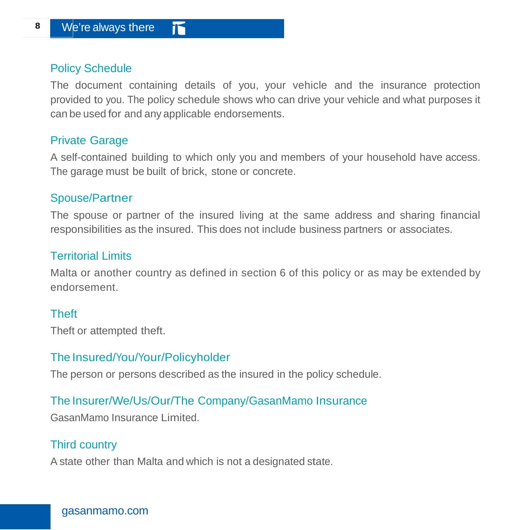### Policy Schedule

The document containing details of you, your vehicle and the insurance protection provided to you. The policy schedule shows who can drive your vehicle and what purposes it can be used for and any applicable endorsements.

#### Private Garage

A self-contained building to which only you and members of your household have access. The garage must be built of brick, stone or concrete.

#### Spouse/Partner

The spouse or partner of the insured living at the same address and sharing financial responsibilities as the insured. This does not include business partners or associates.

#### Territorial Limits

Malta or another country as defined in section 6 of this policy or as may be extended by endorsement.

### **Theft**

Theft or attempted theft.

### The Insured/You/Your/Policyholder

The person or persons described as the insured in the policy schedule.

## The Insurer/We/Us/Our/The Company/GasanMamo Insurance

GasanMamo Insurance Limited.

## Third country

A state other than Malta and which is not a designated state.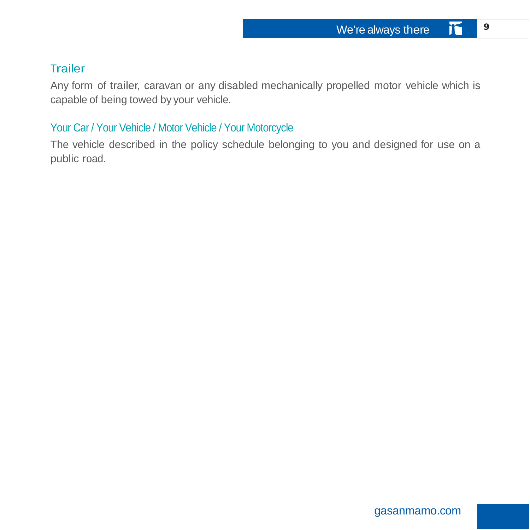### **Trailer**

Any form of trailer, caravan or any disabled mechanically propelled motor vehicle which is capable of being towed by your vehicle.

### Your Car / Your Vehicle / Motor Vehicle / Your Motorcycle

The vehicle described in the policy schedule belonging to you and designed for use on a public road.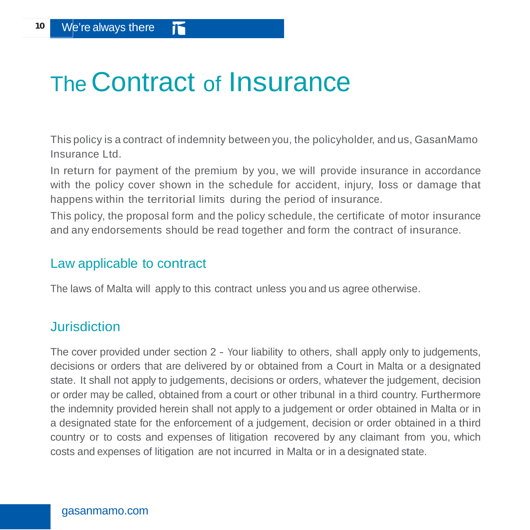## The Contract of Insurance

This policy is a contract of indemnity between you, the policyholder, and us, GasanMamo Insurance Ltd.

In return for payment of the premium by you, we will provide insurance in accordance with the policy cover shown in the schedule for accident, injury, loss or damage that happens within the territorial limits during the period of insurance.

This policy, the proposal form and the policy schedule, the certificate of motor insurance and any endorsements should be read together and form the contract of insurance.

## Law applicable to contract

The laws of Malta will apply to this contract unless you and us agree otherwise.

## **Jurisdiction**

The cover provided under section 2 - Your liability to others, shall apply only to judgements, decisions or orders that are delivered by or obtained from a Court in Malta or a designated state. It shall not apply to judgements, decisions or orders, whatever the judgement, decision or order may be called, obtained from a court or other tribunal in a third country. Furthermore the indemnity provided herein shall not apply to a judgement or order obtained in Malta or in a designated state for the enforcement of a judgement, decision or order obtained in a third country or to costs and expenses of litigation recovered by any claimant from you, which costs and expenses of litigation are not incurred in Malta or in a designated state.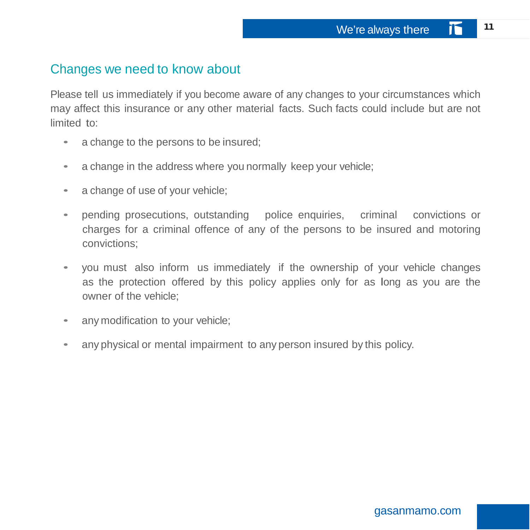## Changes we need to know about

Please tell us immediately if you become aware of any changes to your circumstances which may affect this insurance or any other material facts. Such facts could include but are not limited to:

- a change to the persons to be insured;
- a change in the address where you normally keep your vehicle;
- a change of use of your vehicle;
- pending prosecutions, outstanding police enquiries, criminal convictions or charges for a criminal offence of any of the persons to be insured and motoring convictions;
- you must also inform us immediately if the ownership of your vehicle changes as the protection offered by this policy applies only for as long as you are the owner of the vehicle;
- any modification to your vehicle;
- any physical or mental impairment to any person insured by this policy.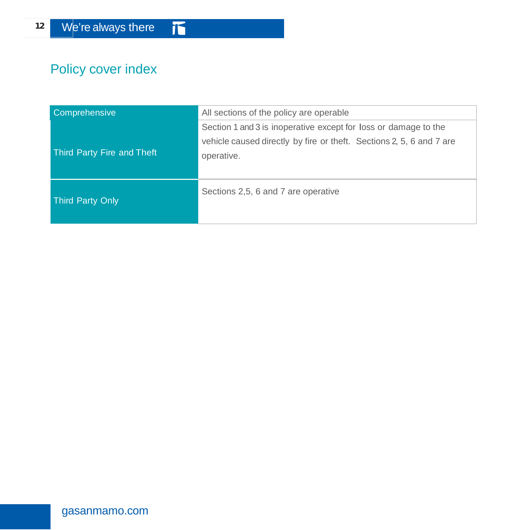## Policy cover index

| Comprehensive              | All sections of the policy are operable                                                                                                               |  |
|----------------------------|-------------------------------------------------------------------------------------------------------------------------------------------------------|--|
| Third Party Fire and Theft | Section 1 and 3 is inoperative except for loss or damage to the<br>vehicle caused directly by fire or theft. Sections 2, 5, 6 and 7 are<br>operative. |  |
| Third Party Only           | Sections 2,5, 6 and 7 are operative                                                                                                                   |  |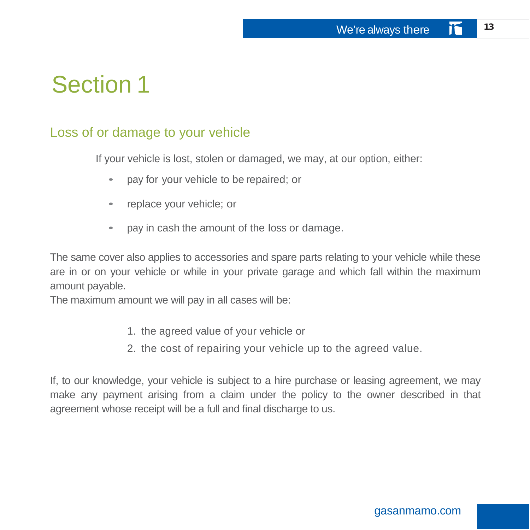## Section 1

## Loss of or damage to your vehicle

If your vehicle is lost, stolen or damaged, we may, at our option, either:

- pay for your vehicle to be repaired; or
- replace your vehicle; or
- pay in cash the amount of the loss or damage.

The same cover also applies to accessories and spare parts relating to your vehicle while these are in or on your vehicle or while in your private garage and which fall within the maximum amount payable.

The maximum amount we will pay in all cases will be:

- 1. the agreed value of your vehicle or
- 2. the cost of repairing your vehicle up to the agreed value.

If, to our knowledge, your vehicle is subject to a hire purchase or leasing agreement, we may make any payment arising from a claim under the policy to the owner described in that agreement whose receipt will be a full and final discharge to us.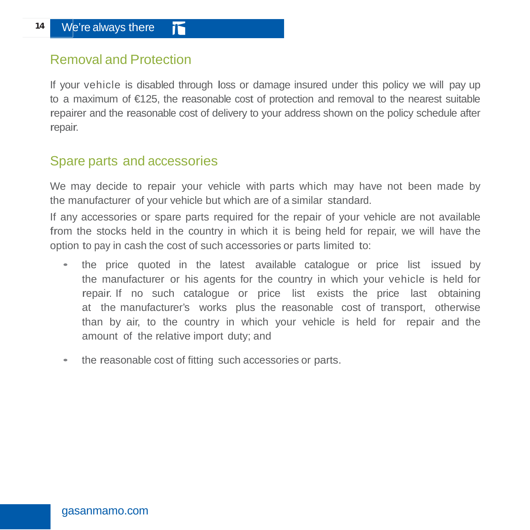## Removal and Protection

If your vehicle is disabled through loss or damage insured under this policy we will pay up to a maximum of €125, the reasonable cost of protection and removal to the nearest suitable repairer and the reasonable cost of delivery to your address shown on the policy schedule after repair.

## Spare parts and accessories

We may decide to repair your vehicle with parts which may have not been made by the manufacturer of your vehicle but which are of a similar standard.

If any accessories or spare parts required for the repair of your vehicle are not available from the stocks held in the country in which it is being held for repair, we will have the option to pay in cash the cost of such accessories or parts limited to:

- the price quoted in the latest available catalogue or price list issued by the manufacturer or his agents for the country in which your vehicle is held for repair. If no such catalogue or price list exists the price last obtaining at the manufacturer's works plus the reasonable cost of transport, otherwise than by air, to the country in which your vehicle is held for repair and the amount of the relative import duty; and
- the reasonable cost of fitting such accessories or parts.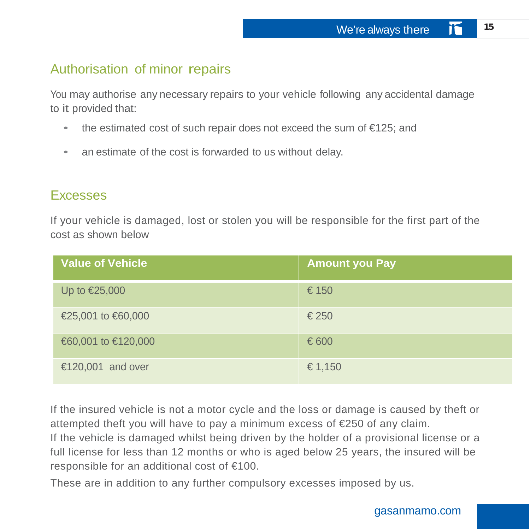## Authorisation of minor repairs

You may authorise any necessary repairs to your vehicle following any accidental damage to it provided that:

- the estimated cost of such repair does not exceed the sum of €125; and
- an estimate of the cost is forwarded to us without delay.

## **Excesses**

If your vehicle is damaged, lost or stolen you will be responsible for the first part of the cost as shown below

| <b>Value of Vehicle</b> | <b>Amount you Pay</b> |
|-------------------------|-----------------------|
| Up to $\epsilon$ 25,000 | €150                  |
| €25,001 to €60,000      | €250                  |
| €60,001 to €120,000     | €600                  |
| €120,001 and over       | € 1,150               |

If the insured vehicle is not a motor cycle and the loss or damage is caused by theft or attempted theft you will have to pay a minimum excess of €250 of any claim.

If the vehicle is damaged whilst being driven by the holder of a provisional license or a full license for less than 12 months or who is aged below 25 years, the insured will be responsible for an additional cost of €100.

These are in addition to any further compulsory excesses imposed by us.

#### gasanmamo.com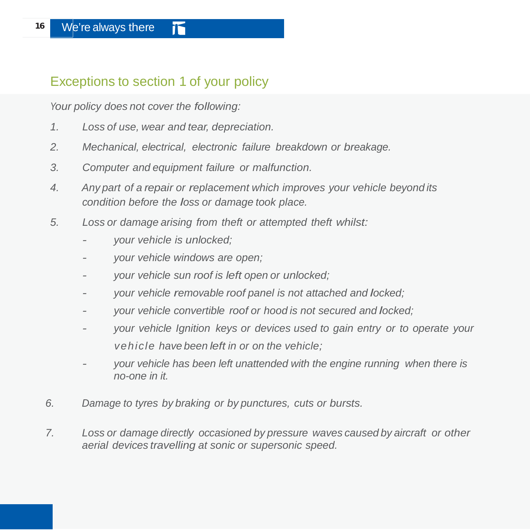## Exceptions to section 1 of your policy

*Your policy does not cover the following:*

- *1. Loss of use, wear and tear, depreciation.*
- *2. Mechanical, electrical, electronic failure breakdown or breakage.*
- *3. Computer and equipment failure or malfunction.*
- *4. Any part of a repair or replacement which improves your vehicle beyond its condition before the loss or damage took place.*
- *5. Loss or damage arising from theft or attempted theft whilst:*
	- *- your vehicle is unlocked;*
	- *- your vehicle windows are open;*
	- *- your vehicle sun roof is left open or unlocked;*
	- *- your vehicle removable roof panel is not attached and locked;*
	- *- your vehicle convertible roof or hood is not secured and locked;*
	- *- your vehicle Ignition keys or devices used to gain entry or to operate your vehicle have been left in or on the vehicle;*
	- *- your vehicle has been left unattended with the engine running when there is no-one in it.*
- *6. Damage to tyres by braking or by punctures, cuts or bursts.*
- *7. Loss or damage directly occasioned by pressure waves caused by aircraft or other aerial devices travelling at sonic or supersonic speed.*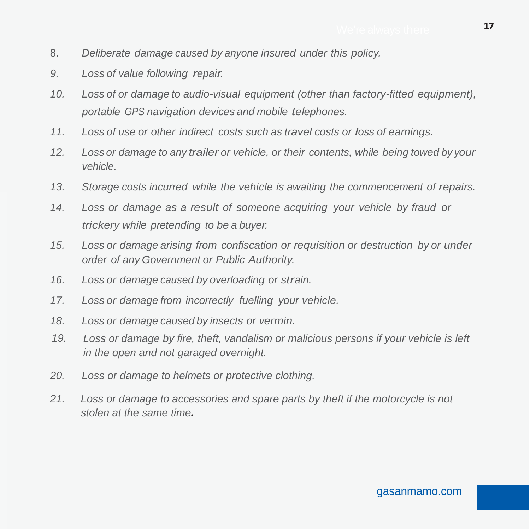- 8. *Deliberate damage caused by anyone insured under this policy.*
- *9. Loss of value following repair.*
- *10. Loss of or damage to audio-visual equipment (other than factory-fitted equipment), portable GPS navigation devices and mobile telephones.*
- *11. Loss of use or other indirect costs such as travel costs or loss of earnings.*
- *12. Loss or damage to any trailer or vehicle, or their contents, while being towed by your vehicle.*
- *13. Storage costs incurred while the vehicle is awaiting the commencement of repairs.*
- *14. Loss or damage as a result of someone acquiring your vehicle by fraud or trickery while pretending to be a buyer.*
- *15. Loss or damage arising from confiscation or requisition or destruction by or under order of any Government or Public Authority.*
- *16. Loss or damage caused by overloading or strain.*
- *17. Loss or damage from incorrectly fuelling your vehicle.*
- *18. Loss or damage caused by insects or vermin.*
- *19. Loss or damage by fire, theft, vandalism or malicious persons if your vehicle is left in the open and not garaged overnight.*
- *20. Loss or damage to helmets or protective clothing.*
- *21. Loss or damage to accessories and spare parts by theft if the motorcycle is not stolen at the same time.*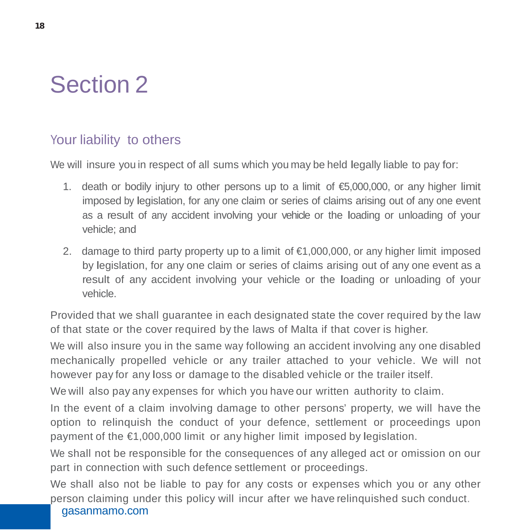

## Your liability to others

We will insure you in respect of all sums which you may be held legally liable to pay for:

- 1. death or bodily injury to other persons up to a limit of  $\bigoplus$ ,000,000, or any higher limit imposed by legislation, for any one claim or series of claims arising out of any one event as a result of any accident involving your vehicle or the loading or unloading of your vehicle; and
- 2. damage to third party property up to a limit of  $\epsilon$ 1,000,000, or any higher limit imposed by legislation, for any one claim or series of claims arising out of any one event as a result of any accident involving your vehicle or the loading or unloading of your vehicle.

Provided that we shall guarantee in each designated state the cover required by the law of that state or the cover required by the laws of Malta if that cover is higher.

We will also insure you in the same way following an accident involving any one disabled mechanically propelled vehicle or any trailer attached to your vehicle. We will not however pay for any loss or damage to the disabled vehicle or the trailer itself.

We will also pay any expenses for which you have our written authority to claim.

In the event of a claim involving damage to other persons' property, we will have the option to relinquish the conduct of your defence, settlement or proceedings upon payment of the €1,000,000 limit or any higher limit imposed by legislation.

We shall not be responsible for the consequences of any alleged act or omission on our part in connection with such defence settlement or proceedings.

gasanmamo.com We shall also not be liable to pay for any costs or expenses which you or any other person claiming under this policy will incur after we have relinquished such conduct.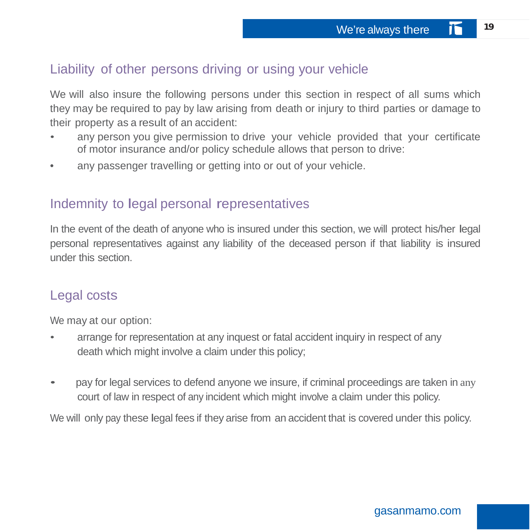## Liability of other persons driving or using your vehicle

We will also insure the following persons under this section in respect of all sums which they may be required to pay by law arising from death or injury to third parties or damage to their property as a result of an accident:

- any person you give permission to drive your vehicle provided that your certificate of motor insurance and/or policy schedule allows that person to drive:
- any passenger travelling or getting into or out of your vehicle.

## Indemnity to legal personal representatives

In the event of the death of anyone who is insured under this section, we will protect his/her legal personal representatives against any liability of the deceased person if that liability is insured under this section.

## Legal costs

We may at our option:

- arrange for representation at any inquest or fatal accident inquiry in respect of any death which might involve a claim under this policy;
- pay for legal services to defend anyone we insure, if criminal proceedings are taken in any court of law in respect of any incident which might involve a claim under this policy.

We will only pay these legal fees if they arise from an accident that is covered under this policy.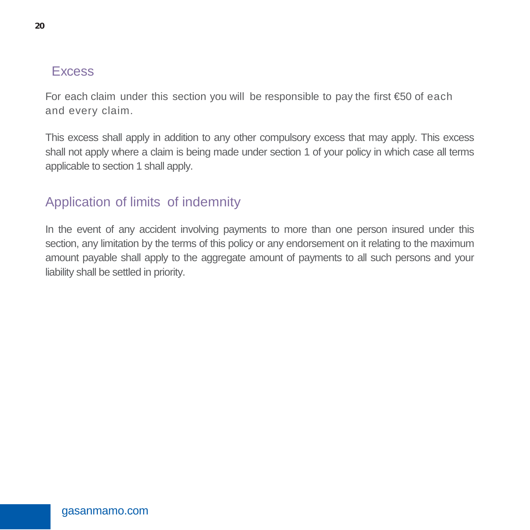## **Excess**

For each claim under this section you will be responsible to pay the first  $\epsilon$ 50 of each and every claim.

This excess shall apply in addition to any other compulsory excess that may apply. This excess shall not apply where a claim is being made under section 1 of your policy in which case all terms applicable to section 1 shall apply.

## Application of limits of indemnity

In the event of any accident involving payments to more than one person insured under this section, any limitation by the terms of this policy or any endorsement on it relating to the maximum amount payable shall apply to the aggregate amount of payments to all such persons and your liability shall be settled in priority.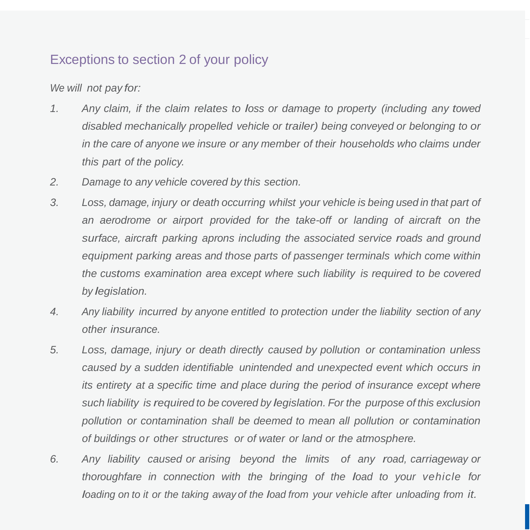## Exceptions to section 2 of your policy

*We will not pay for:*

- *1. Any claim, if the claim relates to loss or damage to property (including any towed disabled mechanically propelled vehicle or trailer) being conveyed or belonging to or in the care of anyone we insure or any member of their households who claims under this part of the policy.*
- *2. Damage to any vehicle covered by this section.*
- *3. Loss, damage, injury or death occurring whilst your vehicle is being used in that part of an aerodrome or airport provided for the take-off or landing of aircraft on the surface, aircraft parking aprons including the associated service roads and ground equipment parking areas and those parts of passenger terminals which come within the customs examination area except where such liability is required to be covered by legislation.*
- *4. Any liability incurred by anyone entitled to protection under the liability section of any other insurance.*
- *5. Loss, damage, injury or death directly caused by pollution or contamination unless caused by a sudden identifiable unintended and unexpected event which occurs in its entirety at a specific time and place during the period of insurance except where such liability is required to be covered by legislation. For the purpose of this exclusion pollution or contamination shall be deemed to mean all pollution or contamination of buildings or other structures or of water or land or the atmosphere.*
- *6. Any liability caused or arising beyond the limits of any road, carriageway or thoroughfare in connection with the bringing of the load to your vehicle for loading on to it or the taking away of the load from your vehicle after unloading from it.*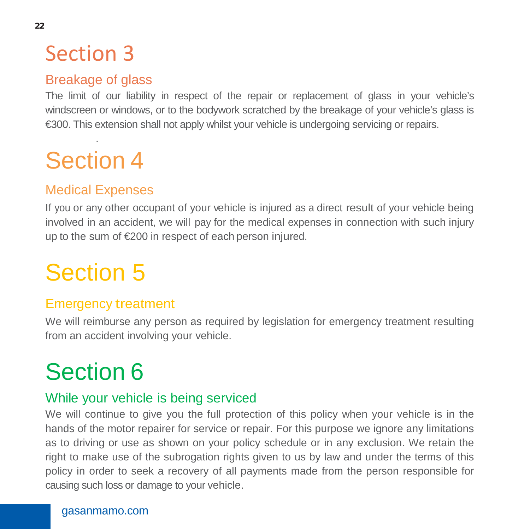## Section 3

## Breakage of glass

The limit of our liability in respect of the repair or replacement of glass in your vehicle's windscreen or windows, or to the bodywork scratched by the breakage of your vehicle's glass is €300. This extension shall not apply whilst your vehicle is undergoing servicing or repairs.

## . Section 4

## Medical Expenses

If you or any other occupant of your vehicle is injured as a direct result of your vehicle being involved in an accident, we will pay for the medical expenses in connection with such injury up to the sum of €200 in respect of each person injured.

# Section 5

## Emergency treatment

We will reimburse any person as required by legislation for emergency treatment resulting from an accident involving your vehicle.

# Section 6

## While your vehicle is being serviced

We will continue to give you the full protection of this policy when your vehicle is in the hands of the motor repairer for service or repair. For this purpose we ignore any limitations as to driving or use as shown on your policy schedule or in any exclusion. We retain the right to make use of the subrogation rights given to us by law and under the terms of this policy in order to seek a recovery of all payments made from the person responsible for causing such loss or damage to your vehicle.

#### gasanmamo.com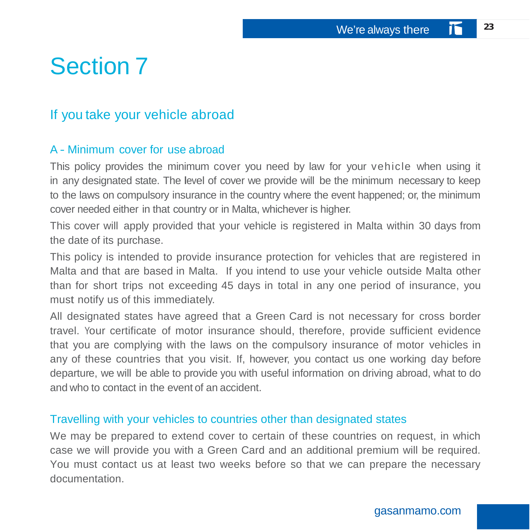## Section 7

## If you take your vehicle abroad

#### A - Minimum cover for use abroad

This policy provides the minimum cover you need by law for your vehicle when using it in any designated state. The level of cover we provide will be the minimum necessary to keep to the laws on compulsory insurance in the country where the event happened; or, the minimum cover needed either in that country or in Malta, whichever is higher.

This cover will apply provided that your vehicle is registered in Malta within 30 days from the date of its purchase.

This policy is intended to provide insurance protection for vehicles that are registered in Malta and that are based in Malta. If you intend to use your vehicle outside Malta other than for short trips not exceeding 45 days in total in any one period of insurance, you must notify us of this immediately.

All designated states have agreed that a Green Card is not necessary for cross border travel. Your certificate of motor insurance should, therefore, provide sufficient evidence that you are complying with the laws on the compulsory insurance of motor vehicles in any of these countries that you visit. If, however, you contact us one working day before departure, we will be able to provide you with useful information on driving abroad, what to do and who to contact in the event of an accident.

#### Travelling with your vehicles to countries other than designated states

We may be prepared to extend cover to certain of these countries on request, in which case we will provide you with a Green Card and an additional premium will be required. You must contact us at least two weeks before so that we can prepare the necessary documentation.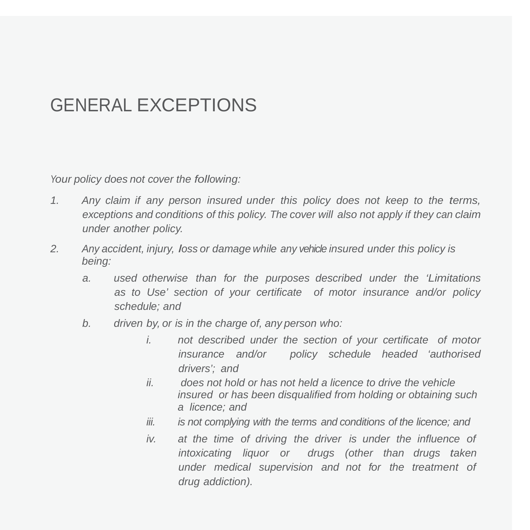## GENERAL EXCEPTIONS

*Your policy does not cover the following:*

- *1. Any claim if any person insured under this policy does not keep to the terms, exceptions and conditions of this policy. The cover will also not apply if they can claim under another policy.*
- *2. Any accident, injury, loss or damage while any vehicle insured under this policy is being:*
	- *a. used otherwise than for the purposes described under the 'Limitations as to Use' section of your certificate of motor insurance and/or policy schedule; and*
	- *b. driven by, or is in the charge of, any person who:*
		- *i. not described under the section of your certificate of motor insurance and/or policy schedule headed 'authorised drivers'; and*
		- *ii. does not hold or has not held a licence to drive the vehicle insured or has been disqualified from holding or obtaining such a licence; and*
		- *iii. is not complying with the terms and conditions of the licence; and*
		- *iv. at the time of driving the driver is under the influence of intoxicating liquor or drugs (other than drugs taken under medical supervision and not for the treatment of drug addiction).*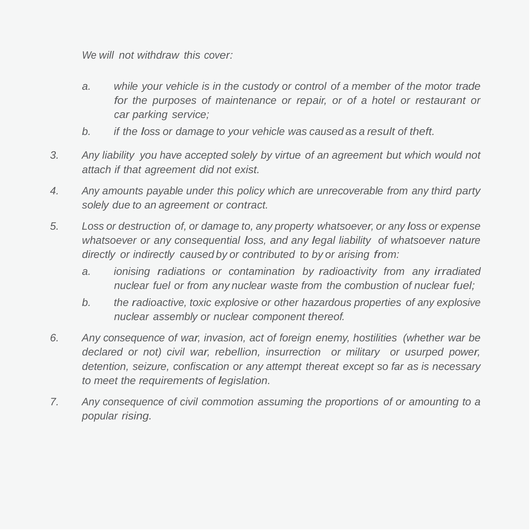*We will not withdraw this cover:*

- *a. while your vehicle is in the custody or control of a member of the motor trade for the purposes of maintenance or repair, or of a hotel or restaurant or car parking service;*
- *b. if the loss or damage to your vehicle was caused as a result of theft.*
- *3. Any liability you have accepted solely by virtue of an agreement but which would not attach if that agreement did not exist.*
- *4. Any amounts payable under this policy which are unrecoverable from any third party solely due to an agreement or contract.*
- *5. Loss or destruction of, or damage to, any property whatsoever, or any loss or expense whatsoever or any consequential loss, and any legal liability of whatsoever nature directly or indirectly caused by or contributed to by or arising from:*
	- *a. ionising radiations or contamination by radioactivity from any irradiated nuclear fuel or from any nuclear waste from the combustion of nuclear fuel;*
	- *b. the radioactive, toxic explosive or other hazardous properties of any explosive nuclear assembly or nuclear component thereof.*
- *6. Any consequence of war, invasion, act of foreign enemy, hostilities (whether war be declared or not) civil war, rebellion, insurrection or military or usurped power, detention, seizure, confiscation or any attempt thereat except so far as is necessary to meet the requirements of legislation.*
- *7. Any consequence of civil commotion assuming the proportions of or amounting to a popular rising.*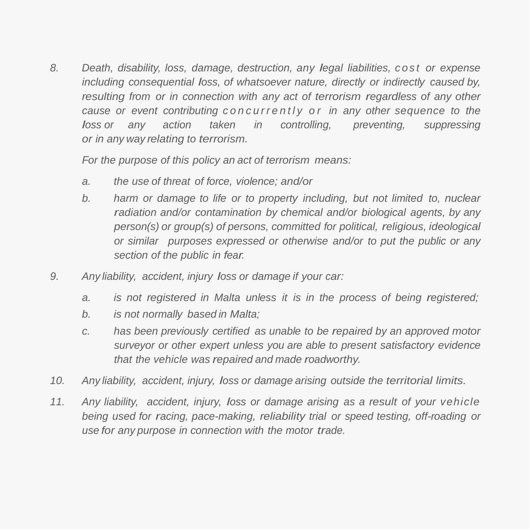*8. Death, disability, loss, damage, destruction, any legal liabilities, cost or expense including consequential loss, of whatsoever nature, directly or indirectly caused by, resulting from or in connection with any act of terrorism regardless of any other cause or event contributing concurrently o r in any other sequence to the loss or any action taken in controlling, preventing, suppressing or in any way relating to terrorism.*

*For the purpose of this policy an act of terrorism means:*

- *a. the use of threat of force, violence; and/or*
- *b. harm or damage to life or to property including, but not limited to, nuclear radiation and/or contamination by chemical and/or biological agents, by any person(s) or group(s) of persons, committed for political, religious, ideological or similar purposes expressed or otherwise and/or to put the public or any section of the public in fear.*
- *9. Any liability, accident, injury loss or damage if your car:*
	- *a. is not registered in Malta unless it is in the process of being registered;*
	- *b. is not normally based in Malta;*
	- *c. has been previously certified as unable to be repaired by an approved motor surveyor or other expert unless you are able to present satisfactory evidence that the vehicle was repaired and made roadworthy.*
- *10. Any liability, accident, injury, loss or damage arising outside the territorial limits.*
- *11. Any liability, accident, injury, loss or damage arising as a result of your vehicle being used for racing, pace-making, reliability trial or speed testing, off-roading or use for any purpose in connection with the motor trade.*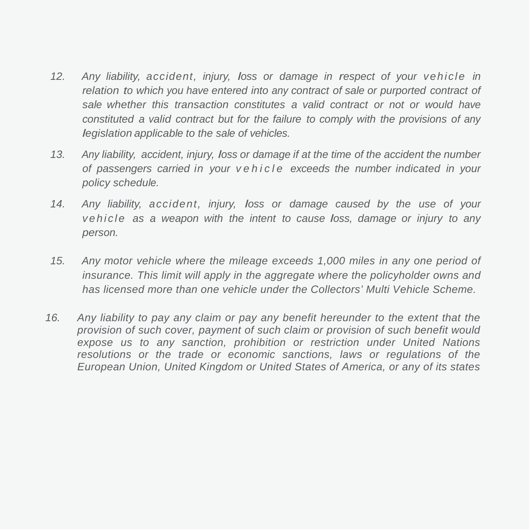- *12. Any liability, accident, injury, loss or damage in respect of your vehicle in relation to which you have entered into any contract of sale or purported contract of sale whether this transaction constitutes a valid contract or not or would have constituted a valid contract but for the failure to comply with the provisions of any legislation applicable to the sale of vehicles.*
- *13. Any liability, accident, injury, loss or damage if at the time of the accident the number of passengers carried in your vehicle exceeds the number indicated in your policy schedule.*
- *14. Any liability, accident, injury, loss or damage caused by the use of your vehicle as a weapon with the intent to cause loss, damage or injury to any person.*
- *15. Any motor vehicle where the mileage exceeds 1,000 miles in any one period of insurance. This limit will apply in the aggregate where the policyholder owns and has licensed more than one vehicle under the Collectors' Multi Vehicle Scheme.*
- *16. Any liability to pay any claim or pay any benefit hereunder to the extent that the provision of such cover, payment of such claim or provision of such benefit would expose us to any sanction, prohibition or restriction under United Nations resolutions or the trade or economic sanctions, laws or regulations of the European Union, United Kingdom or United States of America, or any of its states*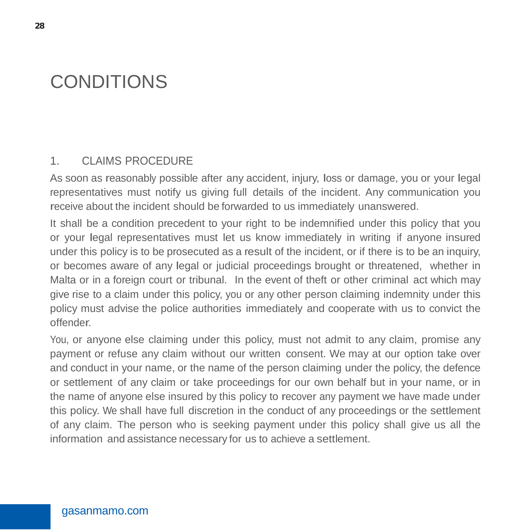## CONDITIONS

#### 1. CLAIMS PROCEDURE

As soon as reasonably possible after any accident, injury, loss or damage, you or your legal representatives must notify us giving full details of the incident. Any communication you receive about the incident should be forwarded to us immediately unanswered.

It shall be a condition precedent to your right to be indemnified under this policy that you or your legal representatives must let us know immediately in writing if anyone insured under this policy is to be prosecuted as a result of the incident, or if there is to be an inquiry, or becomes aware of any legal or judicial proceedings brought or threatened, whether in Malta or in a foreign court or tribunal. In the event of theft or other criminal act which may give rise to a claim under this policy, you or any other person claiming indemnity under this policy must advise the police authorities immediately and cooperate with us to convict the offender.

You, or anyone else claiming under this policy, must not admit to any claim, promise any payment or refuse any claim without our written consent. We may at our option take over and conduct in your name, or the name of the person claiming under the policy, the defence or settlement of any claim or take proceedings for our own behalf but in your name, or in the name of anyone else insured by this policy to recover any payment we have made under this policy. We shall have full discretion in the conduct of any proceedings or the settlement of any claim. The person who is seeking payment under this policy shall give us all the information and assistance necessary for us to achieve a settlement.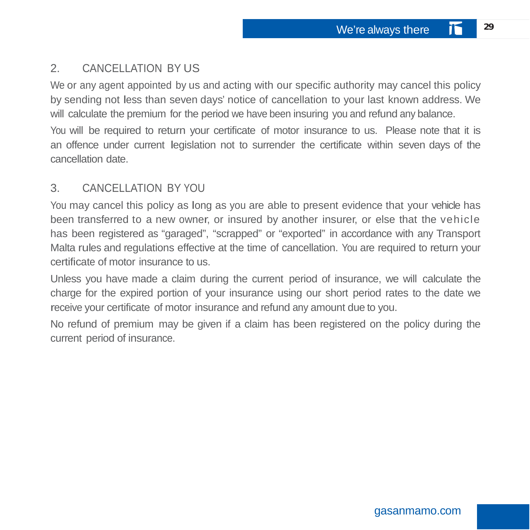## 2. CANCELLATION BY US

We or any agent appointed by us and acting with our specific authority may cancel this policy by sending not less than seven days' notice of cancellation to your last known address. We will calculate the premium for the period we have been insuring you and refund any balance.

You will be required to return your certificate of motor insurance to us. Please note that it is an offence under current legislation not to surrender the certificate within seven days of the cancellation date.

### 3. CANCELLATION BY YOU

You may cancel this policy as long as you are able to present evidence that your vehicle has been transferred to a new owner, or insured by another insurer, or else that the vehicle has been registered as "garaged", "scrapped" or "exported" in accordance with any Transport Malta rules and regulations effective at the time of cancellation. You are required to return your certificate of motor insurance to us.

Unless you have made a claim during the current period of insurance, we will calculate the charge for the expired portion of your insurance using our short period rates to the date we receive your certificate of motor insurance and refund any amount due to you.

No refund of premium may be given if a claim has been registered on the policy during the current period of insurance.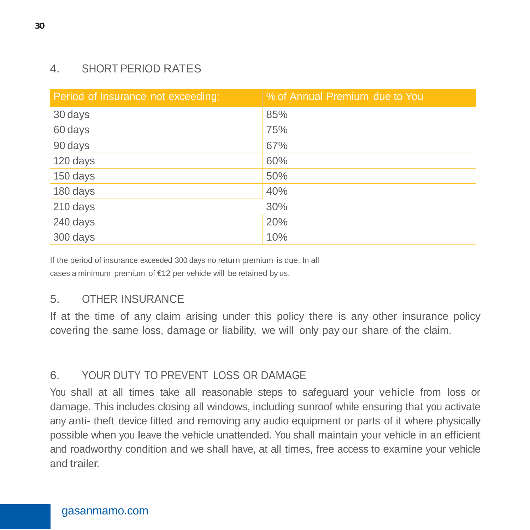## 4. SHORT PERIOD RATES

| Period of Insurance not exceeding: | % of Annual Premium due to You |
|------------------------------------|--------------------------------|
| 30 days                            | 85%                            |
| 60 days                            | 75%                            |
| 90 days                            | 67%                            |
| 120 days                           | 60%                            |
| 150 days                           | 50%                            |
| 180 days                           | 40%                            |
| 210 days                           | 30%                            |
| 240 days                           | 20%                            |
| 300 days                           | 10%                            |

If the period of insurance exceeded 300 days no return premium is due. In all cases a minimum premium of €12 per vehicle will be retained by us.

## 5. OTHER INSURANCE

If at the time of any claim arising under this policy there is any other insurance policy covering the same loss, damage or liability, we will only pay our share of the claim.

## 6. YOUR DUTY TO PREVENT LOSS OR DAMAGE

You shall at all times take all reasonable steps to safeguard your vehicle from loss or damage. This includes closing all windows, including sunroof while ensuring that you activate any anti- theft device fitted and removing any audio equipment or parts of it where physically possible when you leave the vehicle unattended. You shall maintain your vehicle in an efficient and roadworthy condition and we shall have, at all times, free access to examine your vehicle and trailer.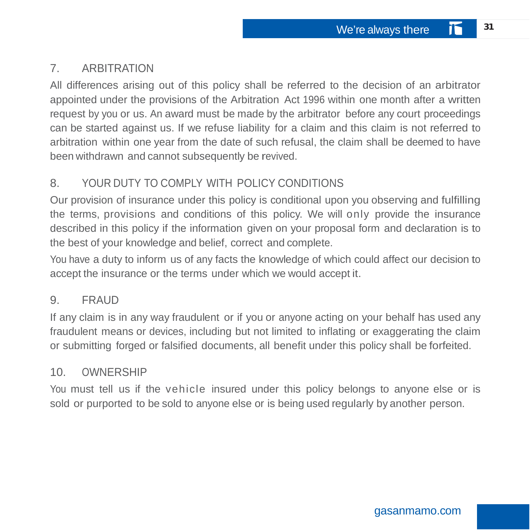## 7. ARBITRATION

All differences arising out of this policy shall be referred to the decision of an arbitrator appointed under the provisions of the Arbitration Act 1996 within one month after a written request by you or us. An award must be made by the arbitrator before any court proceedings can be started against us. If we refuse liability for a claim and this claim is not referred to arbitration within one year from the date of such refusal, the claim shall be deemed to have been withdrawn and cannot subsequently be revived.

## 8. YOUR DUTY TO COMPLY WITH POLICY CONDITIONS

Our provision of insurance under this policy is conditional upon you observing and fulfilling the terms, provisions and conditions of this policy. We will only provide the insurance described in this policy if the information given on your proposal form and declaration is to the best of your knowledge and belief, correct and complete.

You have a duty to inform us of any facts the knowledge of which could affect our decision to accept the insurance or the terms under which we would accept it.

## 9. FRAUD

If any claim is in any way fraudulent or if you or anyone acting on your behalf has used any fraudulent means or devices, including but not limited to inflating or exaggerating the claim or submitting forged or falsified documents, all benefit under this policy shall be forfeited.

## 10. OWNERSHIP

You must tell us if the vehicle insured under this policy belongs to anyone else or is sold or purported to be sold to anyone else or is being used regularly by another person.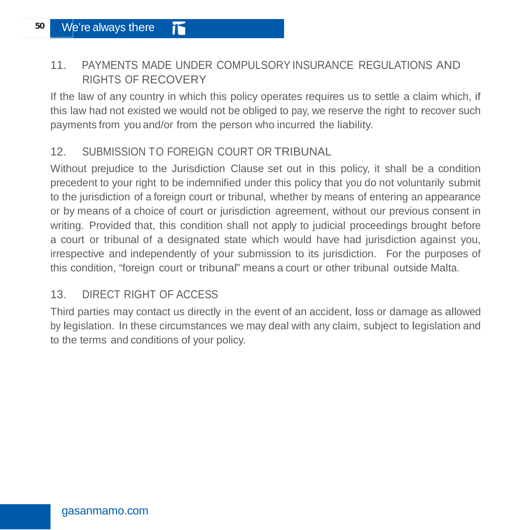## 11. PAYMENTS MADE UNDER COMPULSORY INSURANCE REGULATIONS AND RIGHTS OF RECOVERY

If the law of any country in which this policy operates requires us to settle a claim which, if this law had not existed we would not be obliged to pay, we reserve the right to recover such payments from you and/or from the person who incurred the liability.

## 12. SUBMISSION TO FOREIGN COURT OR TRIBUNAL

Without prejudice to the Jurisdiction Clause set out in this policy, it shall be a condition precedent to your right to be indemnified under this policy that you do not voluntarily submit to the jurisdiction of a foreign court or tribunal, whether by means of entering an appearance or by means of a choice of court or jurisdiction agreement, without our previous consent in writing. Provided that, this condition shall not apply to judicial proceedings brought before a court or tribunal of a designated state which would have had jurisdiction against you, irrespective and independently of your submission to its jurisdiction. For the purposes of this condition, "foreign court or tribunal" means a court or other tribunal outside Malta.

## 13. DIRECT RIGHT OF ACCESS

Third parties may contact us directly in the event of an accident, loss or damage as allowed by legislation. In these circumstances we may deal with any claim, subject to legislation and to the terms and conditions of your policy.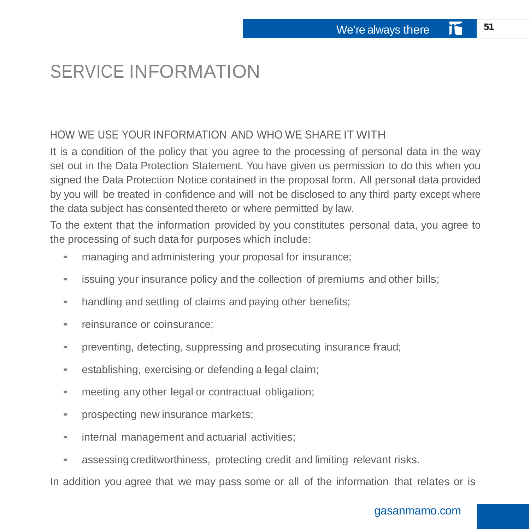## SERVICE INFORMATION

### HOW WE USE YOUR INFORMATION AND WHO WE SHARE IT WITH

It is a condition of the policy that you agree to the processing of personal data in the way set out in the Data Protection Statement. You have given us permission to do this when you signed the Data Protection Notice contained in the proposal form. All personal data provided by you will be treated in confidence and will not be disclosed to any third party except where the data subject has consented thereto or where permitted by law.

To the extent that the information provided by you constitutes personal data, you agree to the processing of such data for purposes which include:

- managing and administering your proposal for insurance;
- issuing your insurance policy and the collection of premiums and other bills;
- handling and settling of claims and paying other benefits;
- reinsurance or coinsurance:
- preventing, detecting, suppressing and prosecuting insurance fraud;
- establishing, exercising or defending a legal claim;
- meeting any other legal or contractual obligation;
- prospecting new insurance markets;
- internal management and actuarial activities;
- assessing creditworthiness, protecting credit and limiting relevant risks.

In addition you agree that we may pass some or all of the information that relates or is

#### gasanmamo.com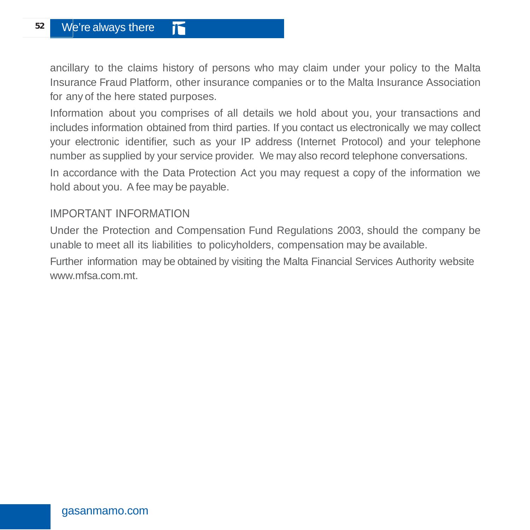ancillary to the claims history of persons who may claim under your policy to the Malta Insurance Fraud Platform, other insurance companies or to the Malta Insurance Association for any of the here stated purposes.

Information about you comprises of all details we hold about you, your transactions and includes information obtained from third parties. If you contact us electronically we may collect your electronic identifier, such as your IP address (Internet Protocol) and your telephone number as supplied by your service provider. We may also record telephone conversations.

In accordance with the Data Protection Act you may request a copy of the information we hold about you. A fee may be payable.

#### IMPORTANT INFORMATION

Under the Protection and Compensation Fund Regulations 2003, should the company be unable to meet all its liabilities to policyholders, compensation may be available.

Further information may be obtained by visiting the Malta Financial Services Authority website [www.mfsa.com.mt.](http://www.mfsa.com.mt/)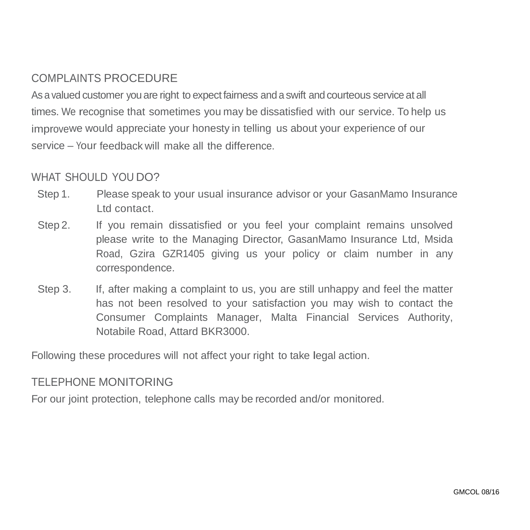## COMPLAINTS PROCEDURE

As a valued customer you are right to expect fairness and a swift and courteous service at all times. We recognise that sometimes you may be dissatisfied with our service. To help us improvewe would appreciate your honesty in telling us about your experience of our service – Your feedback will make all the difference.

#### WHAT SHOULD YOU DO?

- Step 1. Please speak to your usual insurance advisor or your GasanMamo Insurance Ltd contact.
- Step 2. If you remain dissatisfied or you feel your complaint remains unsolved please write to the Managing Director, GasanMamo Insurance Ltd, Msida Road, Gzira GZR1405 giving us your policy or claim number in any correspondence.
- Step 3. If, after making a complaint to us, you are still unhappy and feel the matter has not been resolved to your satisfaction you may wish to contact the Consumer Complaints Manager, Malta Financial Services Authority, Notabile Road, Attard BKR3000.

Following these procedures will not affect your right to take legal action.

#### TELEPHONE MONITORING

For our joint protection, telephone calls may be recorded and/or monitored.